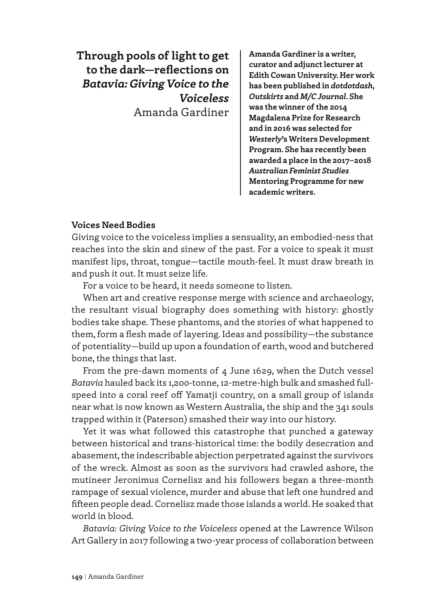**Through pools of light to get to the dark—reflections on**  *Batavia: Giving Voice to the Voiceless* Amanda Gardiner **Amanda Gardiner is a writer, curator and adjunct lecturer at Edith Cowan University. Her work has been published in** *dotdotdash***,**  *Outskirts* **and** *M/C Journal***. She was the winner of the 2014 Magdalena Prize for Research and in 2016 was selected for**  *Westerly***'s Writers Development Program. She has recently been awarded a place in the 2017–2018**  *Australian Feminist Studies* **Mentoring Programme for new academic writers.**

# **Voices Need Bodies**

Giving voice to the voiceless implies a sensuality, an embodied-ness that reaches into the skin and sinew of the past. For a voice to speak it must manifest lips, throat, tongue—tactile mouth-feel. It must draw breath in and push it out. It must seize life.

For a voice to be heard, it needs someone to listen.

When art and creative response merge with science and archaeology, the resultant visual biography does something with history: ghostly bodies take shape. These phantoms, and the stories of what happened to them, form a flesh made of layering. Ideas and possibility—the substance of potentiality—build up upon a foundation of earth, wood and butchered bone, the things that last.

From the pre-dawn moments of 4 June 1629, when the Dutch vessel *Batavia* hauled back its 1,200-tonne, 12-metre-high bulk and smashed fullspeed into a coral reef off Yamatji country, on a small group of islands near what is now known as Western Australia, the ship and the 341 souls trapped within it (Paterson) smashed their way into our history.

Yet it was what followed this catastrophe that punched a gateway between historical and trans-historical time: the bodily desecration and abasement, the indescribable abjection perpetrated against the survivors of the wreck. Almost as soon as the survivors had crawled ashore, the mutineer Jeronimus Cornelisz and his followers began a three-month rampage of sexual violence, murder and abuse that left one hundred and fifteen people dead. Cornelisz made those islands a world. He soaked that world in blood.

*Batavia: Giving Voice to the Voiceless* opened at the Lawrence Wilson Art Gallery in 2017 following a two-year process of collaboration between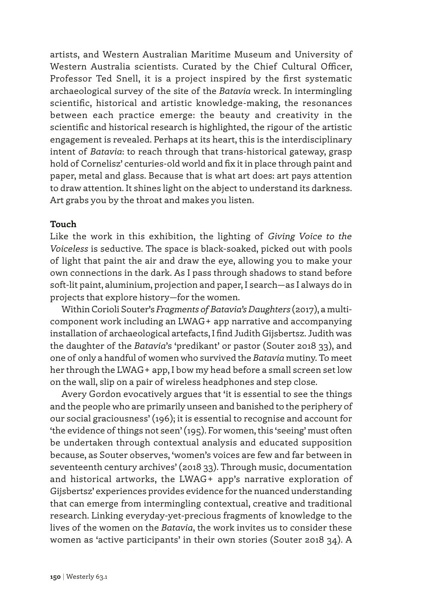artists, and Western Australian Maritime Museum and University of Western Australia scientists. Curated by the Chief Cultural Officer, Professor Ted Snell, it is a project inspired by the first systematic archaeological survey of the site of the *Batavia* wreck. In intermingling scientific, historical and artistic knowledge-making, the resonances between each practice emerge: the beauty and creativity in the scientific and historical research is highlighted, the rigour of the artistic engagement is revealed. Perhaps at its heart, this is the interdisciplinary intent of *Batavia*: to reach through that trans-historical gateway, grasp hold of Cornelisz' centuries-old world and fix it in place through paint and paper, metal and glass. Because that is what art does: art pays attention to draw attention. It shines light on the abject to understand its darkness. Art grabs you by the throat and makes you listen.

#### **Touch**

Like the work in this exhibition, the lighting of *Giving Voice to the Voiceless* is seductive. The space is black-soaked, picked out with pools of light that paint the air and draw the eye, allowing you to make your own connections in the dark. As I pass through shadows to stand before soft-lit paint, aluminium, projection and paper, I search—as I always do in projects that explore history—for the women.

Within Corioli Souter's *Fragments of Batavia's Daughters* (2017), a multicomponent work including an LWAG+ app narrative and accompanying installation of archaeological artefacts, I find Judith Gijsbertsz. Judith was the daughter of the *Batavia*'s 'predikant' or pastor (Souter 2018 33), and one of only a handful of women who survived the *Batavia* mutiny. To meet her through the LWAG+ app, I bow my head before a small screen set low on the wall, slip on a pair of wireless headphones and step close.

Avery Gordon evocatively argues that 'it is essential to see the things and the people who are primarily unseen and banished to the periphery of our social graciousness' (196); it is essential to recognise and account for 'the evidence of things not seen' (195). For women, this 'seeing' must often be undertaken through contextual analysis and educated supposition because, as Souter observes, 'women's voices are few and far between in seventeenth century archives' (2018 33). Through music, documentation and historical artworks, the LWAG+ app's narrative exploration of Gijsbertsz' experiences provides evidence for the nuanced understanding that can emerge from intermingling contextual, creative and traditional research. Linking everyday-yet-precious fragments of knowledge to the lives of the women on the *Batavia*, the work invites us to consider these women as 'active participants' in their own stories (Souter 2018 34). A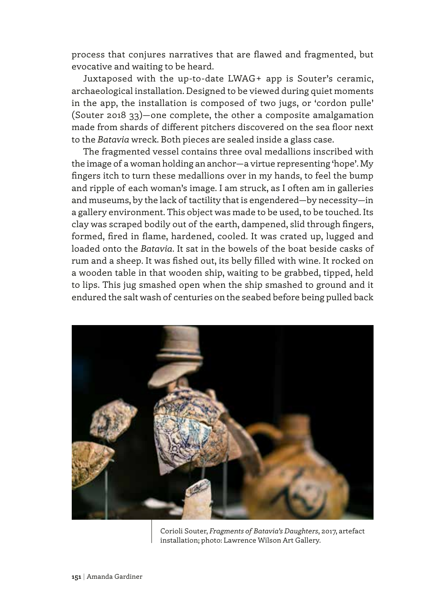process that conjures narratives that are flawed and fragmented, but evocative and waiting to be heard.

Juxtaposed with the up-to-date LWAG+ app is Souter's ceramic, archaeological installation. Designed to be viewed during quiet moments in the app, the installation is composed of two jugs, or 'cordon pulle' (Souter 2018 33)—one complete, the other a composite amalgamation made from shards of different pitchers discovered on the sea floor next to the *Batavia* wreck. Both pieces are sealed inside a glass case.

The fragmented vessel contains three oval medallions inscribed with the image of a woman holding an anchor—a virtue representing 'hope'. My fingers itch to turn these medallions over in my hands, to feel the bump and ripple of each woman's image. I am struck, as I often am in galleries and museums, by the lack of tactility that is engendered—by necessity—in a gallery environment. This object was made to be used, to be touched. Its clay was scraped bodily out of the earth, dampened, slid through fingers, formed, fired in flame, hardened, cooled. It was crated up, lugged and loaded onto the *Batavia*. It sat in the bowels of the boat beside casks of rum and a sheep. It was fished out, its belly filled with wine. It rocked on a wooden table in that wooden ship, waiting to be grabbed, tipped, held to lips. This jug smashed open when the ship smashed to ground and it endured the salt wash of centuries on the seabed before being pulled back



Corioli Souter, *Fragments of Batavia's Daughters*, 2017, artefact installation; photo: Lawrence Wilson Art Gallery.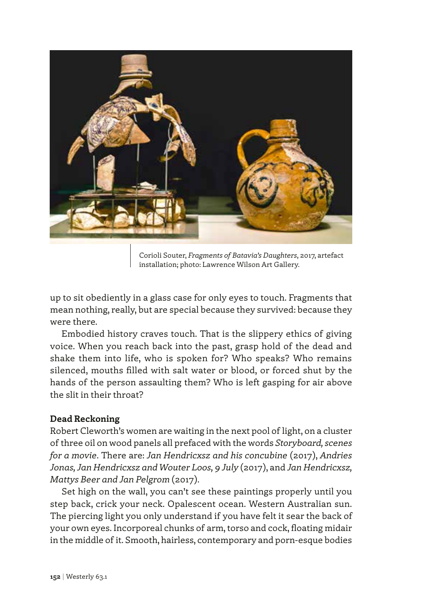

Corioli Souter, *Fragments of Batavia's Daughters*, 2017, artefact installation; photo: Lawrence Wilson Art Gallery.

up to sit obediently in a glass case for only eyes to touch. Fragments that mean nothing, really, but are special because they survived: because they were there.

Embodied history craves touch. That is the slippery ethics of giving voice. When you reach back into the past, grasp hold of the dead and shake them into life, who is spoken for? Who speaks? Who remains silenced, mouths filled with salt water or blood, or forced shut by the hands of the person assaulting them? Who is left gasping for air above the slit in their throat?

## **Dead Reckoning**

Robert Cleworth's women are waiting in the next pool of light, on a cluster of three oil on wood panels all prefaced with the words *Storyboard, scenes for a movie*. There are: *Jan Hendricxsz and his concubine* (2017), *Andries Jonas, Jan Hendricxsz and Wouter Loos, 9 July* (2017), and *Jan Hendricxsz, Mattys Beer and Jan Pelgrom* (2017).

Set high on the wall, you can't see these paintings properly until you step back, crick your neck. Opalescent ocean. Western Australian sun. The piercing light you only understand if you have felt it sear the back of your own eyes. Incorporeal chunks of arm, torso and cock, floating midair in the middle of it. Smooth, hairless, contemporary and porn-esque bodies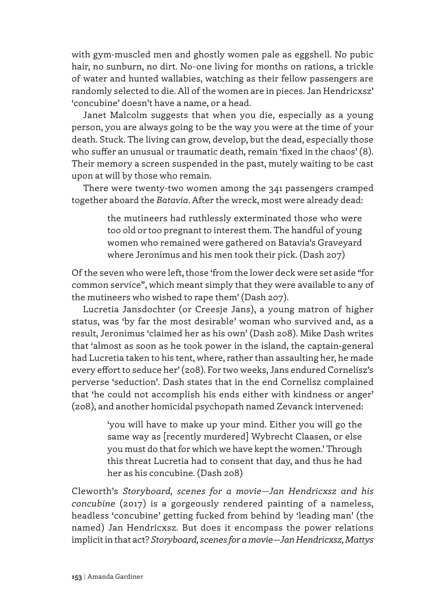with gym-muscled men and ghostly women pale as eggshell. No pubic hair, no sunburn, no dirt. No-one living for months on rations, a trickle of water and hunted wallabies, watching as their fellow passengers are randomly selected to die. All of the women are in pieces. Jan Hendricxsz' 'concubine' doesn't have a name, or a head.

Janet Malcolm suggests that when you die, especially as a young person, you are always going to be the way you were at the time of your death. Stuck. The living can grow, develop, but the dead, especially those who suffer an unusual or traumatic death, remain 'fixed in the chaos' (8). Their memory a screen suspended in the past, mutely waiting to be cast upon at will by those who remain.

There were twenty-two women among the 341 passengers cramped together aboard the *Batavia*. After the wreck, most were already dead:

> the mutineers had ruthlessly exterminated those who were too old or too pregnant to interest them. The handful of young women who remained were gathered on Batavia's Graveyard where Jeronimus and his men took their pick. (Dash 207)

Of the seven who were left, those 'from the lower deck were set aside "for common service", which meant simply that they were available to any of the mutineers who wished to rape them' (Dash 207).

Lucretia Jansdochter (or Creesje Jans), a young matron of higher status, was 'by far the most desirable' woman who survived and, as a result, Jeronimus 'claimed her as his own' (Dash 208). Mike Dash writes that 'almost as soon as he took power in the island, the captain-general had Lucretia taken to his tent, where, rather than assaulting her, he made every effort to seduce her' (208). For two weeks, Jans endured Cornelisz's perverse 'seduction'. Dash states that in the end Cornelisz complained that 'he could not accomplish his ends either with kindness or anger' (208), and another homicidal psychopath named Zevanck intervened:

> 'you will have to make up your mind. Either you will go the same way as [recently murdered] Wybrecht Claasen, or else you must do that for which we have kept the women.' Through this threat Lucretia had to consent that day, and thus he had her as his concubine. (Dash 208)

Cleworth's *Storyboard, scenes for a movie—Jan Hendricxsz and his concubine* (2017) is a gorgeously rendered painting of a nameless, headless 'concubine' getting fucked from behind by 'leading man' (the named) Jan Hendricxsz. But does it encompass the power relations implicit in that act? *Storyboard, scenes for a movie—Jan Hendricxsz, Mattys*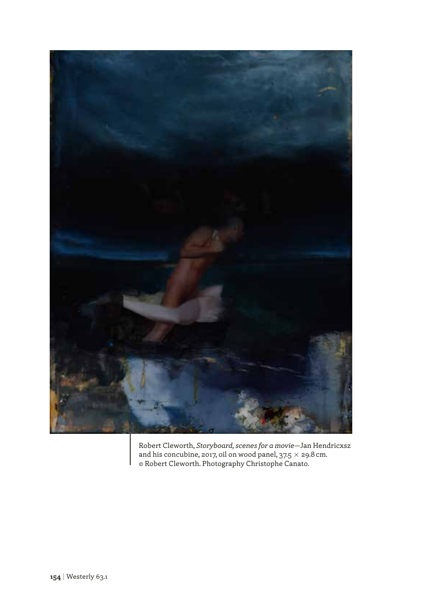

Robert Cleworth, *Storyboard, scenes for a movie*—Jan Hendricxsz and his concubine, 2017, oil on wood panel,  $37.5 \times 29.8$  cm. © Robert Cleworth. Photography Christophe Canato.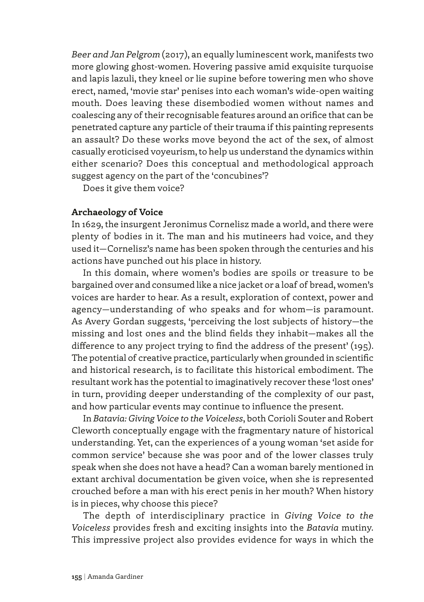*Beer and Jan Pelgrom* (2017), an equally luminescent work, manifests two more glowing ghost-women. Hovering passive amid exquisite turquoise and lapis lazuli, they kneel or lie supine before towering men who shove erect, named, 'movie star' penises into each woman's wide-open waiting mouth. Does leaving these disembodied women without names and coalescing any of their recognisable features around an orifice that can be penetrated capture any particle of their trauma if this painting represents an assault? Do these works move beyond the act of the sex, of almost casually eroticised voyeurism, to help us understand the dynamics within either scenario? Does this conceptual and methodological approach suggest agency on the part of the 'concubines'?

Does it give them voice?

## **Archaeology of Voice**

In 1629, the insurgent Jeronimus Cornelisz made a world, and there were plenty of bodies in it. The man and his mutineers had voice, and they used it—Cornelisz's name has been spoken through the centuries and his actions have punched out his place in history.

In this domain, where women's bodies are spoils or treasure to be bargained over and consumed like a nice jacket or a loaf of bread, women's voices are harder to hear. As a result, exploration of context, power and agency—understanding of who speaks and for whom—is paramount. As Avery Gordan suggests, 'perceiving the lost subjects of history—the missing and lost ones and the blind fields they inhabit—makes all the difference to any project trying to find the address of the present' (195). The potential of creative practice, particularly when grounded in scientific and historical research, is to facilitate this historical embodiment. The resultant work has the potential to imaginatively recover these 'lost ones' in turn, providing deeper understanding of the complexity of our past, and how particular events may continue to influence the present.

In *Batavia: Giving Voice to the Voiceless*, both Corioli Souter and Robert Cleworth conceptually engage with the fragmentary nature of historical understanding. Yet, can the experiences of a young woman 'set aside for common service' because she was poor and of the lower classes truly speak when she does not have a head? Can a woman barely mentioned in extant archival documentation be given voice, when she is represented crouched before a man with his erect penis in her mouth? When history is in pieces, why choose this piece?

The depth of interdisciplinary practice in *Giving Voice to the Voiceless* provides fresh and exciting insights into the *Batavia* mutiny. This impressive project also provides evidence for ways in which the